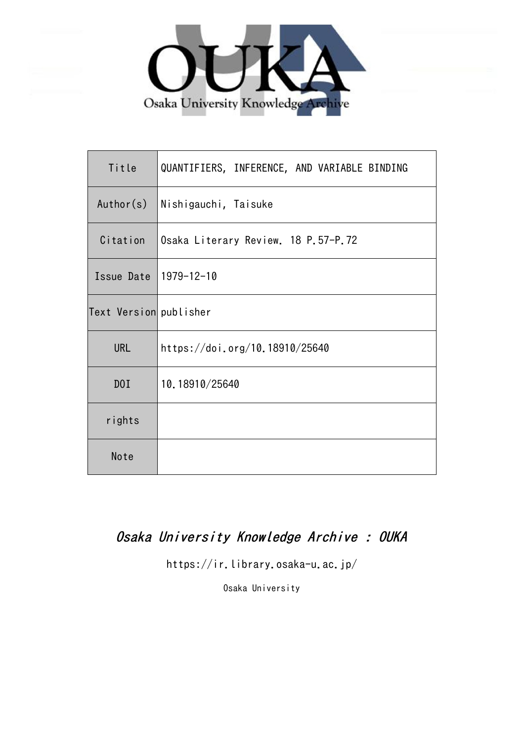

| Title                  | QUANTIFIERS, INFERENCE, AND VARIABLE BINDING |  |  |  |  |  |  |
|------------------------|----------------------------------------------|--|--|--|--|--|--|
| Author(s)              | Nishigauchi, Taisuke                         |  |  |  |  |  |  |
| Citation               | Osaka Literary Review. 18 P.57-P.72          |  |  |  |  |  |  |
| Issue Date             | 1979-12-10                                   |  |  |  |  |  |  |
| Text Version publisher |                                              |  |  |  |  |  |  |
| <b>URL</b>             | https://doi.org/10.18910/25640               |  |  |  |  |  |  |
| DOI                    | 10.18910/25640                               |  |  |  |  |  |  |
| rights                 |                                              |  |  |  |  |  |  |
| Note                   |                                              |  |  |  |  |  |  |

# Osaka University Knowledge Archive : OUKA

https://ir.library.osaka-u.ac.jp/

Osaka University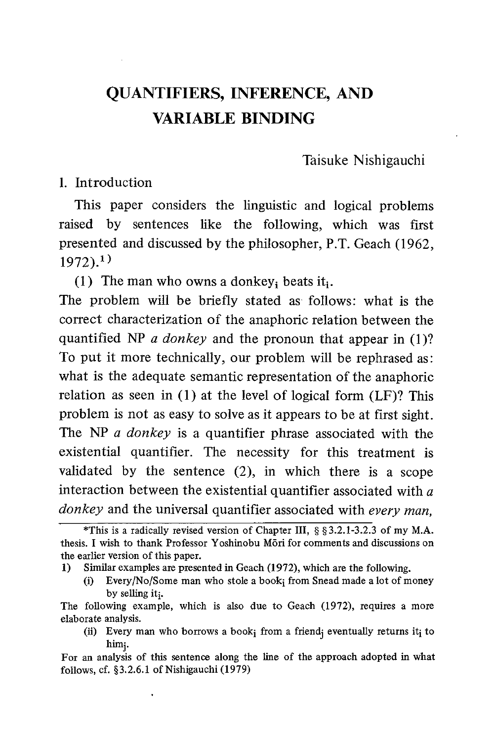Taisuke Nishigauchi

1. Introduction

This paper considers the linguistic and logical problems raised by sentences like the following, which was first presented and discussed by the philosopher, P.T. Geach (1962,  $1972$ ).<sup>1</sup>

(1) The man who owns a donkey, beats it.

The problem will be briefly stated as follows: what is the correct characterization of the anaphoric relation between the quantified NP  $\alpha$  donkey and the pronoun that appear in (1)? To put it more technically, our problem will be rephrased as: what is the adequate semantic representation of the anaphoric relation as seen in (1) at the level of logical form (LF)? This problem is not as easy to solve as it appears to be at first sight. The NP *a donkey* is a quantifier phrase associated with the existential quantifier. The necessity for this treatment is validated by the sentence (2), in which there is a scope interaction between the existential quantifier associated with  $a$ donkey and the universal quantifier associated with every man,

<sup>\*</sup>This is a radically revised version of Chapter III , § §3.2.1-3.2.3 of my M.A. thesis. I wish to thank Professor Yoshinobu Mori for comments and discussions on the earlier version of this paper.

<sup>1)</sup> Similar examples are presented in Geach (1972), which are the following.

<sup>(</sup>i) Every/No/Some man who stole a book; from Snead made a lot of money by selling it<sub>i</sub>.

The following example, which is also due to Geach (1972), requires a more elaborate analysis.

<sup>(</sup>ii) Every man who borrows a book<sub>i</sub> from a friend<sub>i</sub> eventually returns it<sub>i</sub> to him.

For an analysis of this sentence along the line of the approach adopted in what follows, cf. §3.2.6.1 of Nishigauchi (1979)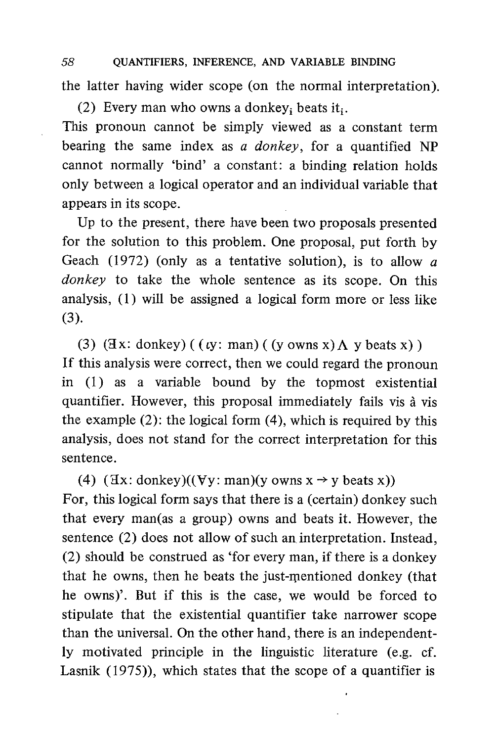58 QUANTIFIERS, INFERENCE, AND VARIABLE BINDING the latter having wider scope (on the normal interpretation).

(2) Every man who owns a donkey<sub>i</sub> beats it<sub>i</sub>. This pronoun cannot be simply viewed as a constant term bearing the same index as a donkey, for a quantified  $NP$ cannot normally 'bind' a constant: a binding relation holds only between a logical operator and an individual variable that appears in its scope.

Up to the present, there have been two proposals presented for the solution to this problem. One proposal, put forth by Geach (1972) (only as a tentative solution), is to allow  $a$ donkey to take the whole sentence as its scope. On this analysis, (1) will be assigned a logical form more or less like (3).

(3) ( $\exists x: \text{donkey}$ ) (  $(y: \text{man})$  (  $(y \text{ owns } x)$   $\Lambda$   $y \text{ beats } x$ ) ) If this analysis were correct, then we could regard the pronoun in (1) as a variable bound by the topmost existential quantifier. However, this proposal immediately fails vis à vis the example (2): the logical form (4), which is required by this analysis, does not stand for the correct interpretation for this sentence.

(4)  $(\exists x: \text{donkey})((\forall y: \text{man})(y \text{ owns } x \rightarrow y \text{ beats } x))$ For, this logical form says that there is a (certain) donkey such that every man(as a group) owns and beats it. However, the sentence (2) does not allow of such an interpretation. Instead, (2) should be construed as 'for every man, if there is a donkey that he owns, then he beats the just-mentioned donkey (that he owns)'. But if this is the case, we would be forced to stipulate that the existential quantifier take narrower scope than the universal. On the other hand, there is an independently motivated principle in the linguistic literature (e.g. cf. Lasnik (1975)), which states that the scope of a quantifier is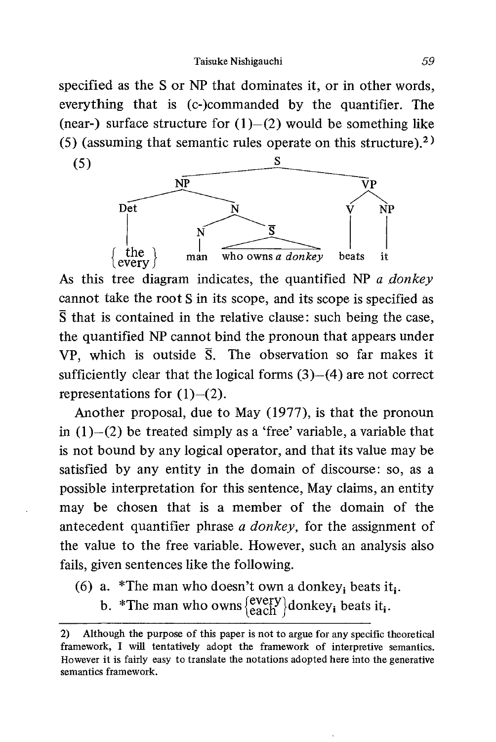specified as the S or NP that dominates it, or in other words, everything that is (c-)commanded by the quantifier. The (near-) surface structure for  $(1)$ - $(2)$  would be something like (5) (assuming that semantic rules operate on this structure).<sup>2)</sup>



As this tree diagram indicates, the quantified NP a donkey cannot take the root S in its scope, and its scope is specified as  $\bar{S}$  that is contained in the relative clause: such being the case, the quantified NP cannot bind the pronoun that appears under VP, which is outside  $\overline{S}$ . The observation so far makes it sufficiently clear that the logical forms (3)—(4) are not correct representations for  $(1)$ – $(2)$ .

Another proposal, due to May (1977), is that the pronoun in  $(1)$ — $(2)$  be treated simply as a 'free' variable, a variable that is not bound by any logical operator, and that its value may be satisfied by any entity in the domain of discourse: so, as a possible interpretation for this sentence, May claims, an entity may be chosen that is a member of the domain of the antecedent quantifier phrase a donkey, for the assignment of the value to the free variable. However, such an analysis also fails, given sentences like the following.

- (6) a. \*The man who doesn't own a donkey; beats it.
	- b. \*The man who owns  $\begin{cases} \text{every} \\ \text{each} \end{cases}$  donkey<sub>i</sub> beats it<sub>i</sub>.

<sup>2)</sup> Although the purpose of this paper is not to argue for any specific theoretical framework, I will tentatively adopt the framework of interpretive semantics. However it is fairly easy to translate the notations adopted here into the generative semantics framework.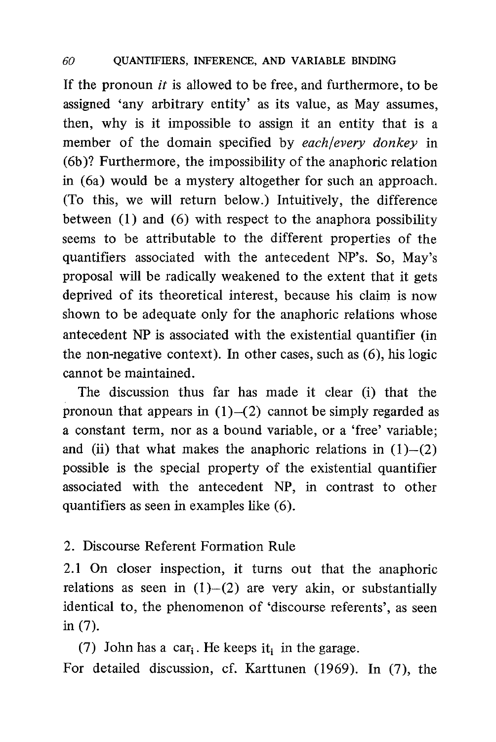If the pronoun *it* is allowed to be free, and furthermore, to be assigned 'any arbitrary entity' as its value, as May assumes, then, why is it impossible to assign it an entity that is a member of the domain specified by each/every donkey in (6b)? Furthermore, the impossibility of the anaphoric relation in (6a) would be a mystery altogether for such an approach. (To this, we will return below.) Intuitively, the difference between (1) and (6) with respect to the anaphora possibility seems to be attributable to the different properties of the quantifiers associated with the antecedent NP's. So, May's proposal will be radically weakened to the extent that it gets deprived of its theoretical interest, because his claim is now shown to be adequate only for the anaphoric relations whose antecedent NP is associated with the existential quantifier (in the non-negative context). In other cases, such as (6), his logic cannot be maintained.

The discussion thus far has made it clear (i) that the pronoun that appears in  $(1)$ - $(2)$  cannot be simply regarded as a constant term, nor as a bound variable, or a 'free' variable; and (ii) that what makes the anaphoric relations in  $(1)$ - $(2)$ possible is the special property of the existential quantifier associated with the antecedent NP, in contrast to other quantifiers as seen in examples like (6).

#### 2. Discourse Referent Formation Rule

2.1 On closer inspection, it turns out that the anaphoric relations as seen in  $(1)$ - $(2)$  are very akin, or substantially identical to, the phenomenon of 'discourse referents', as seen in (7).

(7) John has a car<sub>i</sub>. He keeps it, in the garage. For detailed discussion, cf. Karttunen (1969). In (7), the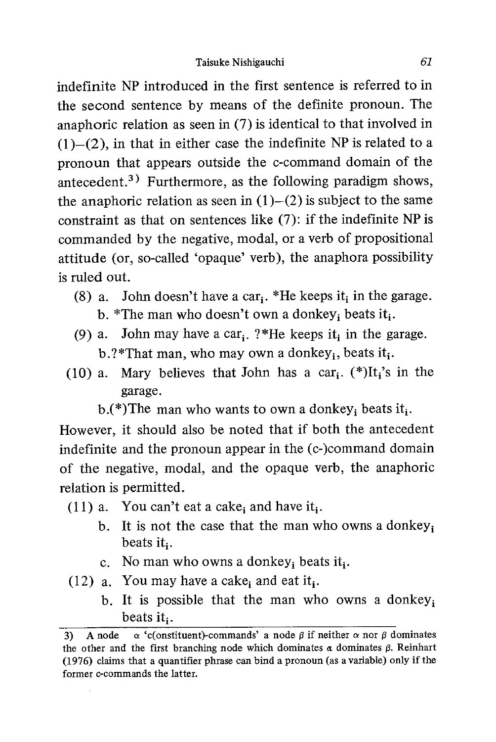indefinite NP introduced in the first sentence is referred to in the second sentence by means of the definite pronoun. The anaphoric relation as seen in (7) is identical to that involved in  $(1)$ – $(2)$ , in that in either case the indefinite NP is related to a pronoun that appears outside the c-command domain of the antecedent.<sup>3)</sup> Furthermore, as the following paradigm shows, the anaphoric relation as seen in  $(1)$ – $(2)$  is subject to the same constraint as that on sentences like (7): if the indefinite NP is commanded by the negative, modal, or a verb of propositional attitude (or, so-called 'opaque' verb), the anaphora possibility is ruled out.

- (8) a. John doesn't have a car<sub>i</sub>. \*He keeps it in the garage.
	- b. \*The man who doesn't own a donkey; beats it.
- (9) a. John may have a car<sub>i</sub>, ?\*He keeps it, in the garage. b.?\*That man, who may own a donkey;, beats it;.
- (10) a. Mary believes that John has a car<sub>i</sub>. (\*)It<sub>i</sub>'s in the garage.
	- b.(\*)The man who wants to own a donkey; beats it.

However, it should also be noted that if both the antecedent indefinite and the pronoun appear in the (c-)command domain of the negative, modal, and the opaque verb, the anaphoric relation is permitted.

- (11) a. You can't eat a cake; and have it;.
	- b. It is not the case that the man who owns a donkey; beats it;.
	- c. No man who owns a donkey; beats it,.
- (12) a. You may have a cake; and eat it,.
	- b. It is possible that the man who owns a donkey; beats it;.

<sup>3)</sup> A node  $\alpha$  'c(onstituent)-commands' a node  $\beta$  if neither  $\alpha$  nor  $\beta$  dominates the other and the first branching node which dominates  $\alpha$  dominates  $\beta$ . Reinhart (1976) claims that a quantifier phrase can bind a pronoun (as a variable) only if the former c-commands the latter.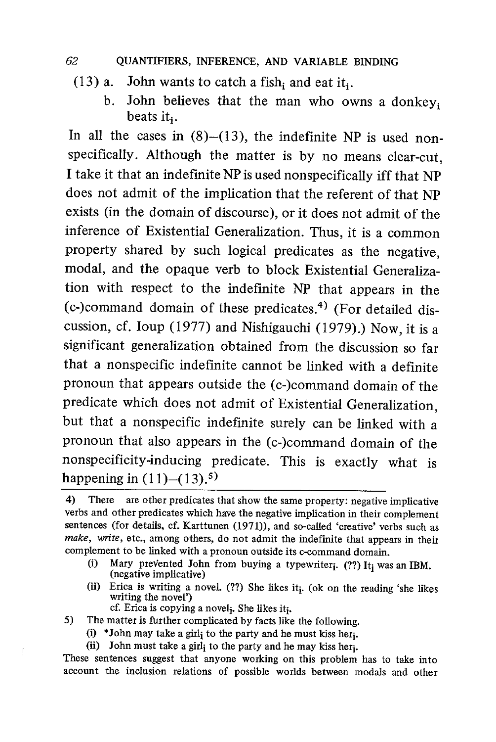- $(13)$  a. John wants to catch a fish, and eat it.
	- b. John believes that the man who owns a donkey. beats it..

In all the cases in  $(8)$ - $(13)$ , the indefinite NP is used nonspecifically. Although the matter is by no means clear-cut , I take it that an indefinite NP is used nonspecifically iff that NP does not admit of the implication that the referent of that NP exists (in the domain of discourse), or it does not admit of the inference of Existential Generalization. Thus, it is a common property shared by such logical predicates as the negative, modal, and the opaque verb to block Existential Generalization with respect to the indefinite NP that appears in the (c-)command domain of these predicates.<sup>4)</sup> (For detailed discussion, cf. Ioup (1977) and Nishigauchi (1979).) Now, it is a significant generalization obtained from the discussion so far that a nonspecific indefinite cannot be linked with a definite pronoun that appears outside the (c-)command domain of the predicate which does not admit of Existential Generalization, but that a nonspecific indefinite surely can be linked with a pronoun that also appears in the (c-)command domain of the nonspecificity-inducing predicate. This is exactly what is happening in  $(11)$ – $(13)$ .<sup>5)</sup>

- (i) Mary prevented John from buying a typewriter<sub>i</sub>. (??) It<sub>i</sub> was an IBM. (negative implicative)
- (ii) Erica is writing a novel.  $(??)$  She likes it<sub>i</sub>. (ok on the reading 'she likes writing the novel') cf. Erica is copying a novel<sub>i</sub>. She likes it<sub>i</sub>.
- 5) The matter is further complicated by facts like the following.

 $\left\lbrack \right.$ 

- (i) \*John may take a girli to the party and he must kiss heri.
- (ii) John must take a girl<sub>i</sub> to the party and he may kiss her<sub>i</sub>.

These sentences suggest that anyone working on this problem has to take into account the inclusion relations of possible worlds between modals and other

<sup>4)</sup> There are other predicates that show the same property: negative implicative verbs and other predicates which have the negative implication in their complement sentences (for details, cf. Karttunen (1971)), and so-called 'creative' verbs such as make, write, etc., among others, do not admit the indefinite that appears in their complement to be linked with a pronoun outside its c-command domain.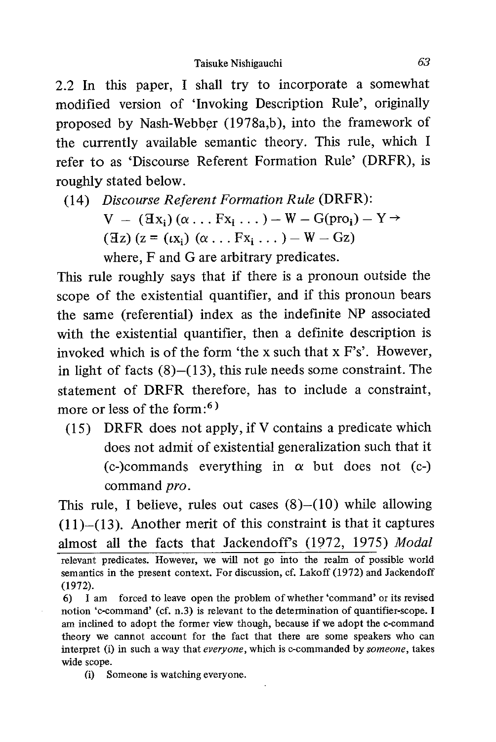2.2 In this paper, I shall try to incorporate a somewhat modified version of 'Invoking Description Rule', originally proposed by Nash-Webber (1978a,b), into the framework of the currently available semantic theory. This rule, which I refer to as 'Discourse Referent Formation Rule' (DRFR), is roughly stated below.

(14) Discourse Referent Formation Rule (DRFR):

 $V - (\mathbf{X}_i)(\alpha \dots \mathbf{F}_{i}, \dots) - W - G(\text{pro}_i) - Y \rightarrow$  $(Ez)$  (z =  $(tx_i)$  ( $\alpha$ ...  $Fx_i$ ...) – W – Gz)

where, F and G are arbitrary predicates.

This rule roughly says that if there is a pronoun outside the scope of the existential quantifier, and if this pronoun bears the same (referential) index as the indefinite NP associated with the existential quantifier, then a definite description is invoked which is of the form 'the x such that x F's'. However, in light of facts  $(8)$ – $(13)$ , this rule needs some constraint. The statement of DRFR therefore, has to include a constraint, more or less of the form:<sup>6)</sup>

(15) DRFR does not apply, if V contains a predicate which does not admit of existential generalization such that it  $(c-)$ commands everything in  $\alpha$  but does not  $(c-)$ command pro.

This rule, I believe, rules out cases (8)—(10) while allowing (11)—(13). Another merit of this constraint is that it captures almost all the facts that Jackendoff's (1972, 1975) Modal relevant predicates. However, we will not go into the realm of possible world semantics in the present context. For discussion, cf. Lakoff (1972) and Jackendoff (1972).

(i) Someone is watching everyone.

<sup>6)</sup> I am forced to leave open the problem of whether 'command' or its revised notion 'c-command' (cf. n.3) is relevant to the determination of quantifier-scope. I am inclined to adopt the former view though, because if we adopt the c-command theory we cannot account for the fact that there are some speakers who can interpret (i) in such a way that everyone, which is c-commanded by someone, takes wide scope.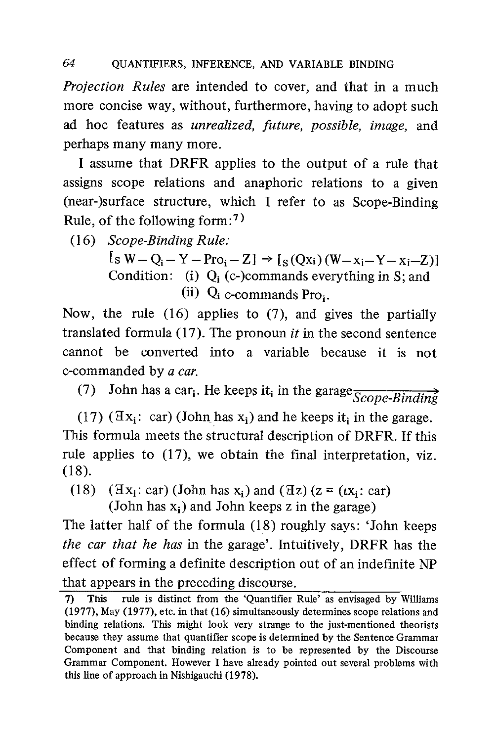Projection Rules are intended to cover, and that in a much more concise way, without, furthermore, having to adopt such ad hoc features as unrealized, future, possible, image, and perhaps many many more.

I assume that DRFR applies to the output of a rule that assigns scope relations and anaphoric relations to a given (near-)surface structure, which I refer to as Scope-Binding Rule, of the following form:')

(16) Scope-Binding Rule:

 $[sW - Q_i - Y - Pro_i - Z] \rightarrow [s(Qxi)(W - x_i - Y - x_i - Z)]$ Condition: (i)  $Q_i$  (c-)commands everything in S; and (ii)  $Q_i$  c-commands Pro $_i$ .

Now, the rule (16) applies to (7), and gives the partially translated formula  $(17)$ . The pronoun *it* in the second sentence cannot be converted into a variable because it is not c-commanded by a car.

(7) John has a car<sub>i</sub>. He keeps it<sub>i</sub> in the garage  $\frac{1}{\text{Scope-Binding}}$ 

(17) ( $\exists x_i$ : car) (John has  $x_i$ ) and he keeps it<sub>i</sub> in the garage. This formula meets the structural description of DRFR. If this rule applies to (17), we obtain the final interpretation, viz. (18).

(18)  $(\exists x_i: car)$  (John has  $x_i$ ) and  $(\exists z)$  ( $z = (tx_i: car)$ )

(John has  $x_i$ ) and John keeps z in the garage)

The latter half of the formula (18) roughly says: 'John keeps the car that he has in the garage'. Intuitively, DRFR has the effect of forming a definite description out of an indefinite NP that appears in the preceding discourse.

<sup>7)</sup> This rule is distinct from the 'Quantifier Rule' as envisaged by Williams (1977), May (1977), etc. in that (16) simultaneously determines scope relations and binding relations. This might look very strange to the just-mentioned theorists because they assume that quantifier scope is determined by the Sentence Grammar Component and that binding relation is to be represented by the Discourse Grammar Component. However I have already pointed out several problems with this line of approach in Nishigauchi (1978).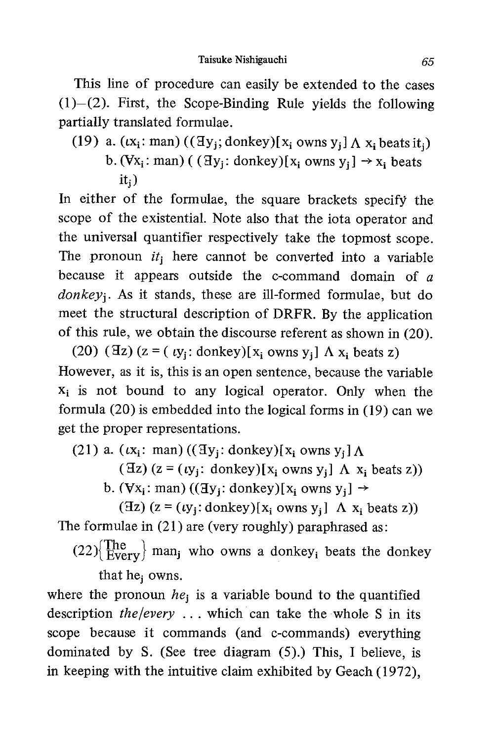This line of procedure can easily be extended to the cases  $(1)$ – $(2)$ . First, the Scope-Binding Rule yields the following partially translated formulae.

(19) a. 
$$
(\iota x_i : man) ((\exists y_j; donkey)[x_i own y_j] \wedge x_i beats it_j)
$$

b. ( $Vx_i$ : man) ( ( $\exists y_i$ : donkey)[ $x_i$  owns  $y_i$ ]  $\rightarrow x_i$  beats

 $it_i)$ 

In either of the formulae, the square brackets specify the scope of the existential. Note also that the iota operator and the universal quantifier respectively take the topmost scope. The pronoun  $it_i$  here cannot be converted into a variable because it appears outside the c-command domain of  $\alpha$ donkey<sub>i</sub>. As it stands, these are ill-formed formulae, but do meet the structural description of DRFR. By the application of this rule, we obtain the discourse referent as shown in (20).

(20) ( $\overline{z}$  = ( $\overline{y_i}$ : donkey)[ $x_i$  owns  $y_i$ ]  $\Lambda x_i$  beats z) However, as it is, this is an open sentence, because the variable  $x_i$  is not bound to any logical operator. Only when the formula (20) is embedded into the logical forms in (19) can we get the proper representations.

(21) a.  $(tx_i: man) ((\exists y_i: donkey)[x_i owns y_i]$   $\Lambda$ 

(Hz) ( $z = (ty_i: \text{donkey})[x_i \text{ owns } y_i]$   $\Lambda$   $x_i$  beats  $z)$ )

b. ( $\forall x_i$ : man) (( $\exists y_i$ : donkey)[ $x_i$  owns  $y_i$ ]  $\rightarrow$ 

( $\exists z$ ) ( $z = (iy_i: \text{donkey})[x_i \text{ owns } y_i]$   $\Lambda$   $x_i$  beats  $z)$ ) The formulae in (21) are (very roughly) paraphrased as:

 $(22)$  The  $Every$  man<sub>j</sub> who owns a donkey<sub>i</sub> beats the donkey that he<sub>i</sub> owns.

where the pronoun  $he_i$  is a variable bound to the quantified description  $the/every$  ... which can take the whole S in its scope because it commands (and c-commands) everything dominated by S. (See tree diagram (5).) This, I believe, is in keeping with the intuitive claim exhibited by Geach (1972),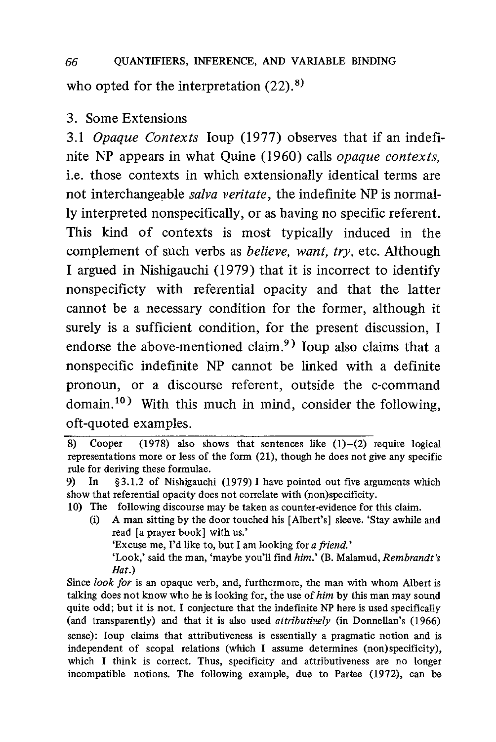### 66 QUANTIFIERS, INFERENCE, AND VARIABLE BINDING who opted for the interpretation  $(22)$ .<sup>8)</sup>

#### 3. Some Extensions

3.1 Opaque Contexts Ioup (1977) observes that if an indefinite NP appears in what Ouine (1960) calls *opaque contexts*, i.e. those contexts in which extensionally identical terms are not interchangeable salva veritate, the indefinite NP is normally interpreted nonspecifically, or as having no specific referent. This kind of contexts is most typically induced in the complement of such verbs as *believe*, want, try, etc. Although I argued in Nishigauchi (1979) that it is incorrect to identify nonspecificty with referential opacity and that the latter cannot be a necessary condition for the former, although it surely is a sufficient condition, for the present discussion, I endorse the above-mentioned claim.<sup>9)</sup> Ioup also claims that a nonspecific indefinite NP cannot be linked with a definite pronoun, or a discourse referent, outside the c-command domain.<sup>10)</sup> With this much in mind, consider the following, oft-quoted examples.

- 10) The following discourse may be taken as counter-evidence for this claim.
	- (i) A man sitting by the door touched his [Albert's] sleeve. 'Stay awhile and read [a prayer book] with us.' 'Excuse me, I'd like to, but I am looking for a friend.' 'Look,' said the man, 'maybe you'll find him.' (B. Malamud, Rembrandt's Hat.)

Since look for is an opaque verb, and, furthermore, the man with whom Albert is talking does not know who he is looking for, the use of him by this man may sound quite odd; but it is not. I conjecture that the indefinite NP here is used specifically (and transparently) and that it is also used *attributively* (in Donnellan's  $(1966)$ ) sense): Ioup claims that attributiveness is essentially a pragmatic notion and is independent of scopal relations (which I assume determines (non)specificity), which I think is correct. Thus, specificity and attributiveness are no longer incompatible notions. The following example, due to Partee (1972), can be

<sup>8)</sup> Cooper (1978) also shows that sentences like  $(1)$ - $(2)$  require logical representations more or less of the form (21), though he does not give any specific rule for deriving these formulae.

<sup>9)</sup> In §3.1.2 of Nishigauchi (1979) I have pointed out five arguments which show that referential opacity does not correlate with (non)specificity.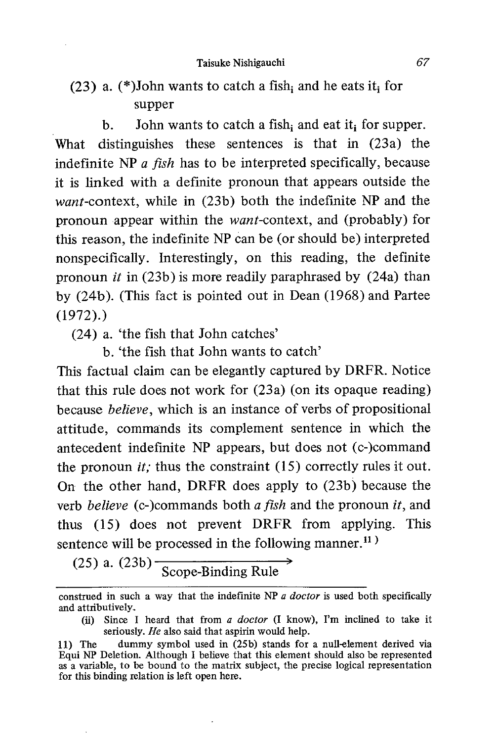Taisuke Nishigauchi 67

### $(23)$  a.  $(*)$ John wants to catch a fish; and he eats it; for supper

b. John wants to catch a fish; and eat it; for supper. What distinguishes these sentences is that in (23a) the indefinite NP  $\alpha$  fish has to be interpreted specifically, because it is linked with a definite pronoun that appears outside the want-context, while in (23b) both the indefinite NP and the pronoun appear within the want-context, and (probably) for this reason, the indefinite NP can be (or should be) interpreted nonspecifically. Interestingly, on this reading, the definite pronoun it in (23b) is more readily paraphrased by (24a) than by (24b). (This fact is pointed out in Dean (1968) and Partee (1972).)

(24) a. 'the fish that John catches'

b. 'the fish that John wants to catch'

This factual claim can be elegantly captured by DRFR. Notice that this rule does not work for (23a) (on its opaque reading) because believe, which is an instance of verbs of propositional attitude, commands its complement sentence in which the antecedent indefinite NP appears, but does not (c-)command the pronoun *it*; thus the constraint  $(15)$  correctly rules it out. On the other hand, DRFR does apply to (23b) because the verb *believe* (c-)commands both *a fish* and the pronoun *it*, and thus (15) does not prevent DRFR from applying. This sentence will be processed in the following manner.<sup>11)</sup>

 $(25)$  a.  $(23b)$  Scope-Binding Rule

(ii) Since I heard that from a doctor (I know), I'm inclined to take it seriously. He also said that aspirin would help.

construed in such a way that the indefinite NP  $\alpha$  doctor is used both specifically and attributively.

<sup>11)</sup> The dummy symbol used in (25b) stands for a null-element derived via Equi NP Deletion. Although I believe that this element should also be represented as a variable, to be bound to the matrix subject, the precise logical representation for this binding relation is left open here.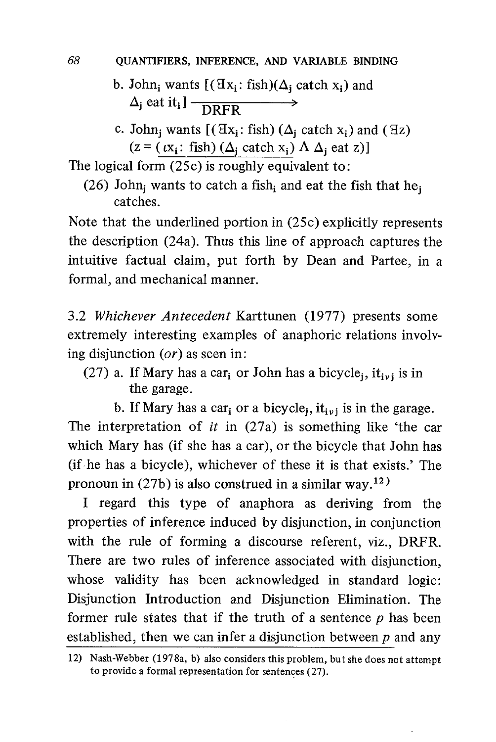- b. John; wants  $[(\exists x_i : fish)(\Delta_i \text{ catch } x_i) \text{ and }$  $\Delta_j$  eat it<sub>i</sub>]  $\frac{1}{\sqrt{RFR}}$
- c. John<sub>i</sub> wants  $[(\mathbb{I}x_i: \text{fish}) (\Delta_i \text{ catch } x_i) \text{ and } (\mathbb{I}z)]$  $(z = (k_i : fish) (\Delta_i \text{ catch } x_i) \Delta_i \text{ eat } z)]$

The logical form (25c) is roughly equivalent to:

(26) John; wants to catch a fish; and eat the fish that he. catches.

Note that the underlined portion in (25c) explicitly represents the description (24a). Thus this line of approach captures the intuitive factual claim, put forth by Dean and Partee, in a formal, and mechanical manner.

3.2 Whichever Antecedent Karttunen (1977) presents some extremely interesting examples of anaphoric relations involving disjunction (or) as seen in:

- (27) a. If Mary has a car<sub>i</sub> or John has a bicycle<sub>j</sub>, it<sub>ivi</sub> is in the garage.
	- b. If Mary has a car<sub>i</sub> or a bicycle<sub>i</sub>, it<sub>ivi</sub> is in the garage.

The interpretation of  $it$  in (27a) is something like 'the car which Mary has (if she has a car), or the bicycle that John has (if he has a bicycle), whichever of these it is that exists.' The pronoun in (27b) is also construed in a similar way.<sup>12)</sup>

I regard this type of anaphora as deriving from the properties of inference induced by disjunction, in conjunction with the rule of forming a discourse referent, viz., DRFR. There are two rules of inference associated with disjunction, whose validity has been acknowledged in standard logic: Disjunction Introduction and Disjunction Elimination. The former rule states that if the truth of a sentence  $p$  has been established, then we can infer a disjunction between  $p$  and any

<sup>12)</sup> Nash-Webber (1978a, b) also considers this problem, but she does not attempt to provide a formal representation for sentences (27).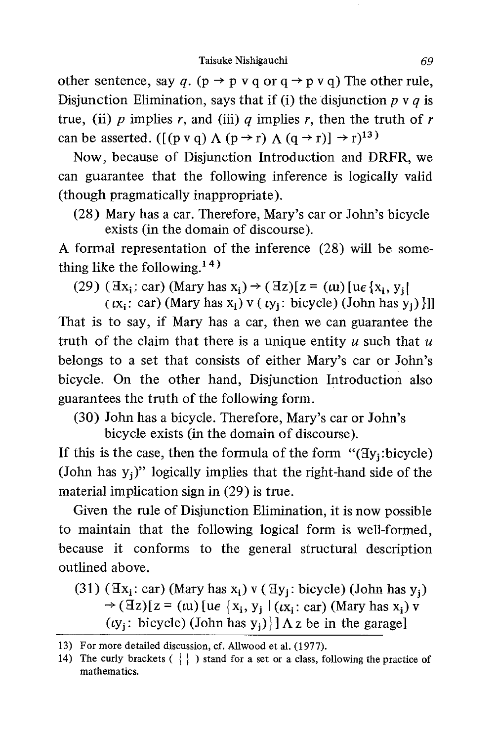other sentence, say q. ( $p \rightarrow p \, v \, q$  or  $q \rightarrow p \, v \, q$ ) The other rule, Disjunction Elimination, says that if (i) the disjunction  $p \vee q$  is true, (ii) p implies r, and (iii) q implies r, then the truth of r can be asserted. ([(p v q)  $\Lambda$  (p  $\rightarrow$  r)  $\Lambda$  (q  $\rightarrow$  r)]  $\rightarrow$  r)<sup>13</sup>)

Now, because of Disjunction Introduction and DRFR, we can guarantee that the following inference is logically valid (though pragmatically inappropriate).

(28) Mary has a car. Therefore, Mary's car or John's bicycle exists (in the domain of discourse).

A formal representation of the inference (28) will be something like the following. $14)$ 

(29) (  $\exists x_i$ ; car) (Mary has  $x_i$ )  $\rightarrow$  (  $\exists z$ )[ $z = (u)$  [ue { $x_i, y_i$ ]

 $(x_i: car)$  (Mary has  $x_i$ ) v ( $(y_i: bicycle)$  (John has  $y_i$ ) | ]] That is to say, if Mary has a car, then we can guarantee the truth of the claim that there is a unique entity  $u$  such that  $u$ belongs to a set that consists of either Mary's car or John's bicycle. On the other hand, Disjunction Introduction also guarantees the truth of the following form.

(30) John has a bicycle. Therefore, Mary's car or John's bicycle exists (in the domain of discourse).

If this is the case, then the formula of the form " $(Hy_i:bicycle)$ " (John has  $y_i$ )" logically implies that the right-hand side of the material implication sign in (29) is true.

Given the rule of Disjunction Elimination, it is now possible to maintain that the following logical form is well-formed, because it conforms to the general structural description outlined above.

(31) ( $\exists x_i : car$ ) (Mary has  $x_i$ ) v ( $\exists y_i : bicycle$ ) (John has  $y_i$ )  $\rightarrow$  (Hz)[z = (tu) [ue {x<sub>i</sub>, y<sub>j</sub> | (tx<sub>i</sub> : car) (Mary has x<sub>i</sub>) v ( $ty_i$ : bicycle) (John has  $y_i$ )}]  $\Lambda$  z be in the garage]

<sup>13)</sup> For more detailed discussion, cf. Allwood et al. (1977).

<sup>14)</sup> The curly brackets ( $\{\}\)$  stand for a set or a class, following the practice of mathematics.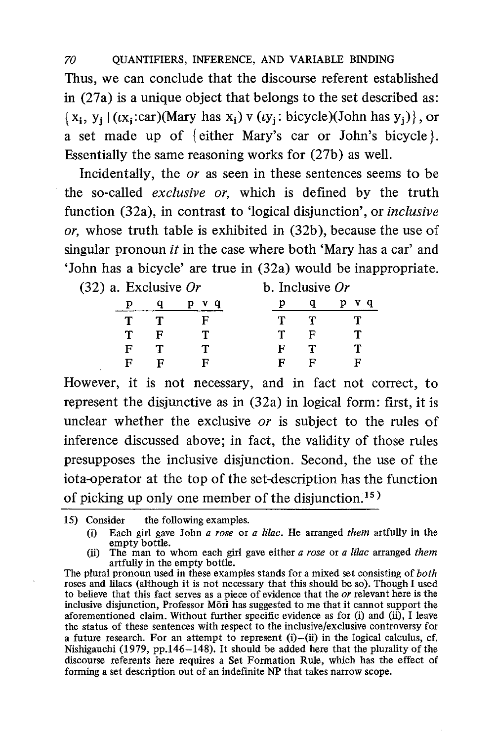Thus, we can conclude that the discourse referent established in (27a) is a unique object that belongs to the set described as:  $\{x_i, y_i | (cx_i : car)(Mary has x_i) \vee (cy_i : bicycle)(John has y_i)\}\$ , or a set made up of { either Mary's car or John's bicycle }. Essentially the same reasoning works for (27b) as well.

Incidentally, the or as seen in these sentences seems to be the so-called exclusive or, which is defined by the truth function (32a), in contrast to 'logical disjunction', or inclusive or, whose truth table is exhibited in (32b), because the use of singular pronoun *it* in the case where both 'Mary has a car' and 'John has a bicycle' are true in (32a) would be inappropriate.

| $(32)$ a. Exclusive Or |   |   |     | b. Inclusive $Or$ |   |   |     |
|------------------------|---|---|-----|-------------------|---|---|-----|
|                        |   |   | v q |                   |   |   | v a |
|                        |   |   | н   |                   |   | Т |     |
|                        | Т | F |     |                   |   | F |     |
|                        | F |   |     |                   | F | Т |     |
|                        |   |   | ы   |                   |   |   | E   |

However, it is not necessary, and in fact not correct, to represent the disjunctive as in (32a) in logical form: first, it is unclear whether the exclusive or is subject to the rules of inference discussed above; in fact, the validity of those rules presupposes the inclusive disjunction. Second, the use of the iota-operator at the top of the set-description has the function of picking up only one member of the disjunction.<sup>15)</sup>

- 15) Consider the following examples.
	- (i) Each girl gave John a rose or a lilac. He arranged them artfully in the empty bottle.
	- (ii) The man to whom each girl gave either  $a$  rose or  $a$  lilac arranged them artfully in the empty bottle.

The plural pronoun used in these examples stands for a mixed set consisting of both roses and lilacs (although it is not necessary that this should be so). Though I used to believe that this fact serves as a piece of evidence that the or relevant here is the inclusive disjunction, Professor Mori has suggested to me that it cannot support the aforementioned claim. Without further specific evidence as for (i) and (ii), I leave the status of these sentences with respect to the inclusive/exclusive controversy for a future research. For an attempt to represent  $(i)$ — $(ii)$  in the logical calculus, cf. Nishigauchi (1979, pp.146-148). It should be added here that the plurality of the discourse referents here requires a Set Formation Rule, which has the effect of forming a set description out of an indefinite NP that takes narrow scope.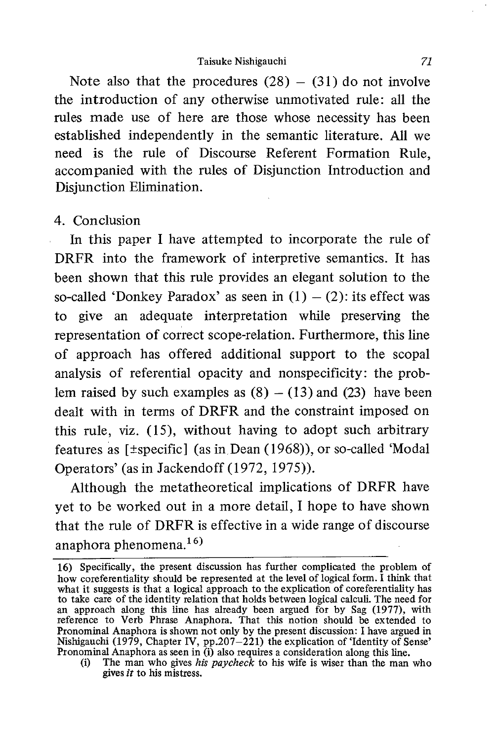Note also that the procedures  $(28) - (31)$  do not involve the introduction of any otherwise unmotivated rule: all the rules made use of here are those whose necessity has been established independently in the semantic literature. All we need is the rule of Discourse Referent Formation Rule, accompanied with the rules of Disjunction Introduction and Disjunction Elimination.

#### 4. Conclusion

In this paper I have attempted to incorporate the rule of DRFR into the framework of interpretive semantics. It has been shown that this rule provides an elegant solution to the so-called 'Donkey Paradox' as seen in  $(1) - (2)$ : its effect was to give an adequate interpretation while preserving the representation of correct scope-relation. Furthermore, this line of approach has offered additional support to the scopal analysis of referential opacity and nonspecificity: the problem raised by such examples as  $(8) - (13)$  and  $(23)$  have been dealt with in terms of DRFR and the constraint imposed on this rule, viz. (15), without having to adopt such arbitrary features as [±specific] (as in Dean (1968)), or so-called 'Modal Operators' (as in Jackendoff (1972, 1975)).

Although the metatheoretical implications of DRFR have yet to be worked out in a more detail, I hope to have shown that the rule of DRFR is effective in a wide range of discourse anaphora phenomena.16)

<sup>16)</sup> Specifically, the present discussion has further complicated the problem of how coreferentiality should be represented at the level of logical form. I think that what it suggests is that a logical approach to the explication of coreferentiality has to take care of the identity relation that holds between logical calculi. The need for an approach along this line has already been argued for by Sag (1977), with reference to Verb Phrase Anaphora. That this notion should be extended to Pronominal Anaphora is shown not only by the present discussion: I have argued in Nishigauchi (1979, Chapter IV, pp.207-221) the explication of 'Identity of Sense' Pronominal Anaphora as seen in (i) also requires a consideration along this line.

<sup>(</sup>i) The man who gives his paycheck to his wife is wiser than the man who gives it to his mistress.